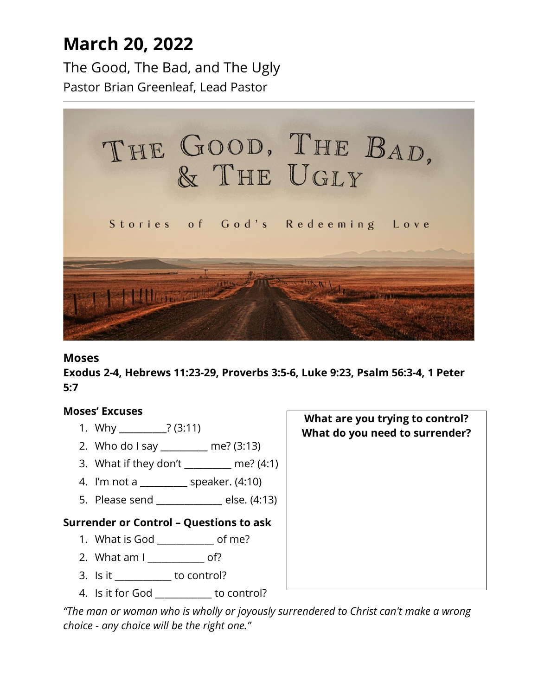# **March 20, 2022**

The Good, The Bad, and The Ugly Pastor Brian Greenleaf, Lead Pastor



#### **Moses**

**Exodus 2-4, Hebrews 11:23-29, Proverbs 3:5-6, Luke 9:23, Psalm 56:3-4, 1 Peter 5:7**

### **Moses' Excuses**

- 1. Why \_\_\_\_\_\_\_\_\_\_? (3:11)
- 2. Who do I say \_\_\_\_\_\_\_\_\_\_ me? (3:13)
- 3. What if they don't \_\_\_\_\_\_\_\_\_\_ me? (4:1)
- 4. I'm not a \_\_\_\_\_\_\_\_\_\_ speaker. (4:10)
- 5. Please send  $\qquad \qquad$  else. (4:13)

### **Surrender or Control – Questions to ask**

- 1. What is God \_\_\_\_\_\_\_\_\_\_\_\_ of me?
- 2. What am I cf?
- 3. Is it \_\_\_\_\_\_\_\_\_\_\_\_ to control?
- 4. Is it for God \_\_\_\_\_\_\_\_\_\_\_\_ to control?

*"The man or woman who is wholly or joyously surrendered to Christ can't make a wrong choice - any choice will be the right one."*

**What are you trying to control? What do you need to surrender?**